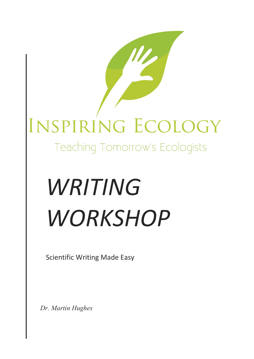## INSPIRING ECOLOGY

Teaching Tomorrow's Ecologists

# *WRITING WORKSHOP*

**Scientific Writing Made Easy** 

*Dr. Martin Hughes*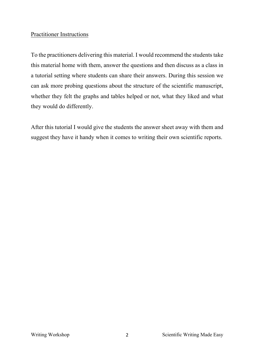#### Practitioner Instructions

To the practitioners delivering this material. I would recommend the students take this material home with them, answer the questions and then discuss as a class in a tutorial setting where students can share their answers. During this session we can ask more probing questions about the structure of the scientific manuscript, whether they felt the graphs and tables helped or not, what they liked and what they would do differently.

After this tutorial I would give the students the answer sheet away with them and suggest they have it handy when it comes to writing their own scientific reports.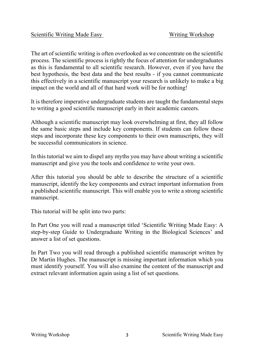The art of scientific writing is often overlooked as we concentrate on the scientific process. The scientific process is rightly the focus of attention for undergraduates as this is fundamental to all scientific research. However, even if you have the best hypothesis, the best data and the best results - if you cannot communicate this effectively in a scientific manuscript your research is unlikely to make a big impact on the world and all of that hard work will be for nothing!

It is therefore imperative undergraduate students are taught the fundamental steps to writing a good scientific manuscript early in their academic careers.

Although a scientific manuscript may look overwhelming at first, they all follow the same basic steps and include key components. If students can follow these steps and incorporate these key components to their own manuscripts, they will be successful communicators in science.

In this tutorial we aim to dispel any myths you may have about writing a scientific manuscript and give you the tools and confidence to write your own.

After this tutorial you should be able to describe the structure of a scientific manuscript, identify the key components and extract important information from a published scientific manuscript. This will enable you to write a strong scientific manuscript.

This tutorial will be split into two parts:

In Part One you will read a manuscript titled 'Scientific Writing Made Easy: A step-by-step Guide to Undergraduate Writing in the Biological Sciences' and answer a list of set questions.

In Part Two you will read through a published scientific manuscript written by Dr Martin Hughes. The manuscript is missing important information which you must identify yourself. You will also examine the content of the manuscript and extract relevant information again using a list of set questions.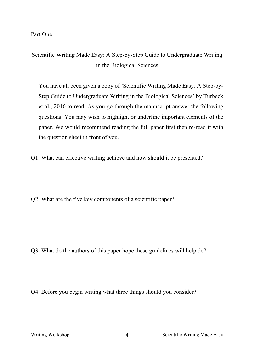Part One

Scientific Writing Made Easy: A Step-by-Step Guide to Undergraduate Writing in the Biological Sciences

You have all been given a copy of 'Scientific Writing Made Easy: A Step-by-Step Guide to Undergraduate Writing in the Biological Sciences' by Turbeck et al., 2016 to read. As you go through the manuscript answer the following questions. You may wish to highlight or underline important elements of the paper. We would recommend reading the full paper first then re-read it with the question sheet in front of you.

Q1. What can effective writing achieve and how should it be presented?

Q2. What are the five key components of a scientific paper?

Q3. What do the authors of this paper hope these guidelines will help do?

Q4. Before you begin writing what three things should you consider?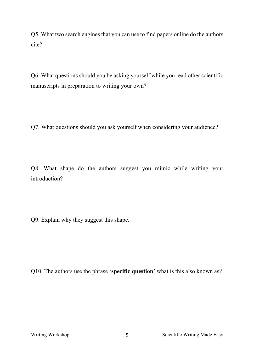Q5. What two search engines that you can use to find papers online do the authors cite?

Q6. What questions should you be asking yourself while you read other scientific manuscripts in preparation to writing your own?

Q7. What questions should you ask yourself when considering your audience?

Q8. What shape do the authors suggest you mimic while writing your introduction?

Q9. Explain why they suggest this shape.

Q10. The authors use the phrase '**specific question**' what is this also known as?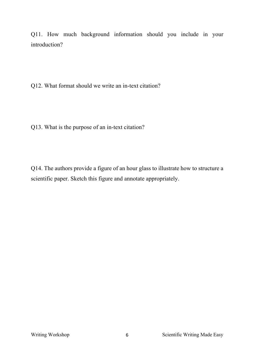Q11. How much background information should you include in your introduction?

Q12. What format should we write an in-text citation?

Q13. What is the purpose of an in-text citation?

Q14. The authors provide a figure of an hour glass to illustrate how to structure a scientific paper. Sketch this figure and annotate appropriately.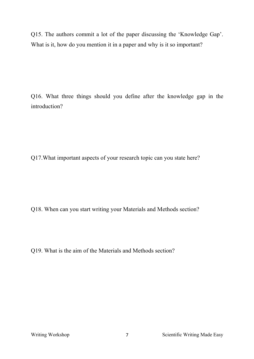Q15. The authors commit a lot of the paper discussing the 'Knowledge Gap'. What is it, how do you mention it in a paper and why is it so important?

Q16. What three things should you define after the knowledge gap in the introduction?

Q17.What important aspects of your research topic can you state here?

Q18. When can you start writing your Materials and Methods section?

Q19. What is the aim of the Materials and Methods section?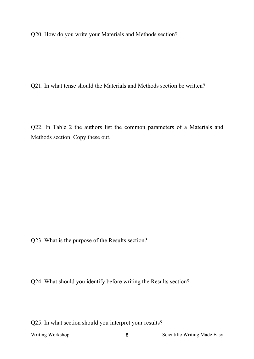Q20. How do you write your Materials and Methods section?

Q21. In what tense should the Materials and Methods section be written?

Q22. In Table 2 the authors list the common parameters of a Materials and Methods section. Copy these out.

Q23. What is the purpose of the Results section?

Q24. What should you identify before writing the Results section?

Q25. In what section should you interpret your results?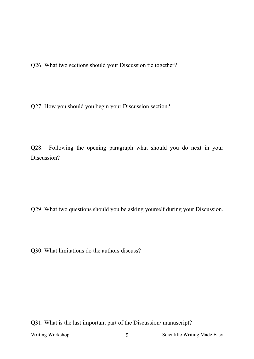Q26. What two sections should your Discussion tie together?

Q27. How you should you begin your Discussion section?

Q28. Following the opening paragraph what should you do next in your Discussion?

Q29. What two questions should you be asking yourself during your Discussion.

Q30. What limitations do the authors discuss?

Writing Workshop 9 9 Scientific Writing Made Easy Q31. What is the last important part of the Discussion/ manuscript?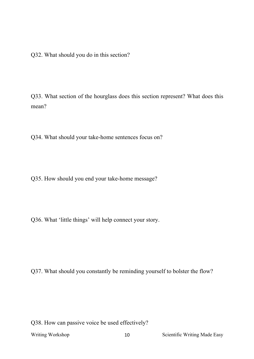Q32. What should you do in this section?

Q33. What section of the hourglass does this section represent? What does this mean?

Q34. What should your take-home sentences focus on?

Q35. How should you end your take-home message?

Q36. What 'little things' will help connect your story.

Q37. What should you constantly be reminding yourself to bolster the flow?

Q38. How can passive voice be used effectively?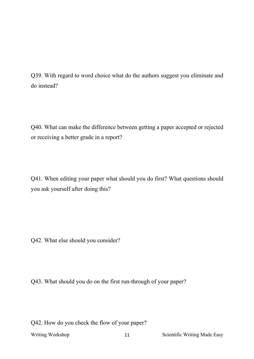Q39. With regard to word choice what do the authors suggest you eliminate and do instead?

Q40. What can make the difference between getting a paper accepted or rejected or receiving a better grade in a report?

Q41. When editing your paper what should you do first? What questions should you ask yourself after doing this?

Q42. What else should you consider?

Q43. What should you do on the first run-through of your paper?

Q42. How do you check the flow of your paper?

Writing Workshop 11 Scientific Writing Made Easy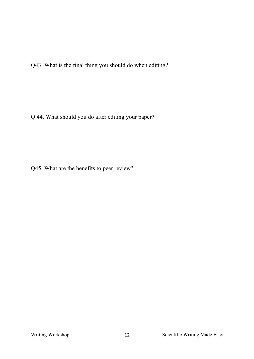Q43. What is the final thing you should do when editing?

Q 44. What should you do after editing your paper?

Q45. What are the benefits to peer review?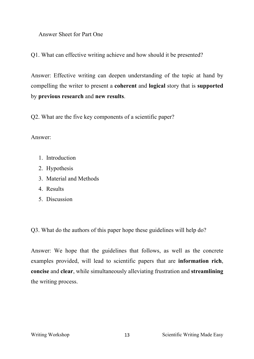Answer Sheet for Part One

Q1. What can effective writing achieve and how should it be presented?

Answer: Effective writing can deepen understanding of the topic at hand by compelling the writer to present a **coherent** and **logical** story that is **supported** by **previous research** and **new results**.

Q2. What are the five key components of a scientific paper?

Answer:

- 1. Introduction
- 2. Hypothesis
- 3. Material and Methods
- 4. Results
- 5. Discussion

Q3. What do the authors of this paper hope these guidelines will help do?

Answer: We hope that the guidelines that follows, as well as the concrete examples provided, will lead to scientific papers that are **information rich**, **concise** and **clear**, while simultaneously alleviating frustration and **streamlining** the writing process.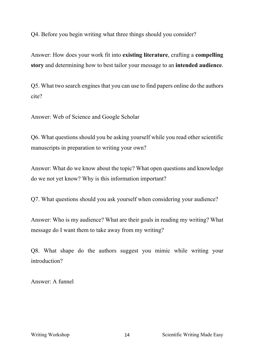Q4. Before you begin writing what three things should you consider?

Answer: How does your work fit into **existing literature**, crafting a **compelling story** and determining how to best tailor your message to an **intended audience**.

Q5. What two search engines that you can use to find papers online do the authors cite?

Answer: Web of Science and Google Scholar

Q6. What questions should you be asking yourself while you read other scientific manuscripts in preparation to writing your own?

Answer: What do we know about the topic? What open questions and knowledge do we not yet know? Why is this information important?

Q7. What questions should you ask yourself when considering your audience?

Answer: Who is my audience? What are their goals in reading my writing? What message do I want them to take away from my writing?

Q8. What shape do the authors suggest you mimic while writing your introduction?

Answer: A funnel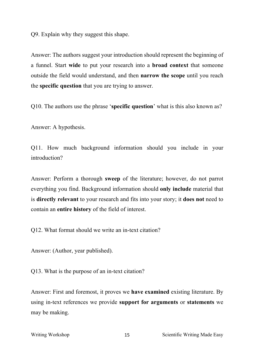Q9. Explain why they suggest this shape.

Answer: The authors suggest your introduction should represent the beginning of a funnel. Start **wide** to put your research into a **broad context** that someone outside the field would understand, and then **narrow the scope** until you reach the **specific question** that you are trying to answer.

Q10. The authors use the phrase '**specific question**' what is this also known as?

Answer: A hypothesis.

Q11. How much background information should you include in your introduction?

Answer: Perform a thorough **sweep** of the literature; however, do not parrot everything you find. Background information should **only include** material that is **directly relevant** to your research and fits into your story; it **does not** need to contain an **entire history** of the field of interest.

Q12. What format should we write an in-text citation?

Answer: (Author, year published).

Q13. What is the purpose of an in-text citation?

Answer: First and foremost, it proves we **have examined** existing literature. By using in-text references we provide **support for arguments** or **statements** we may be making.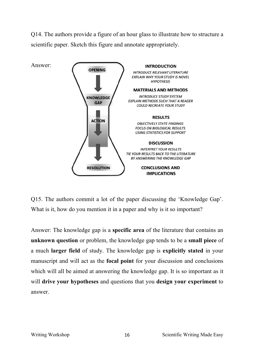Q14. The authors provide a figure of an hour glass to illustrate how to structure a scientific paper. Sketch this figure and annotate appropriately.



Q15. The authors commit a lot of the paper discussing the 'Knowledge Gap'. What is it, how do you mention it in a paper and why is it so important?

Answer: The knowledge gap is a **specific area** of the literature that contains an **unknown question** or problem, the knowledge gap tends to be a **small piece** of a much **larger field** of study. The knowledge gap is **explicitly stated** in your manuscript and will act as the **focal point** for your discussion and conclusions which will all be aimed at answering the knowledge gap. It is so important as it will **drive your hypotheses** and questions that you **design your experiment** to answer.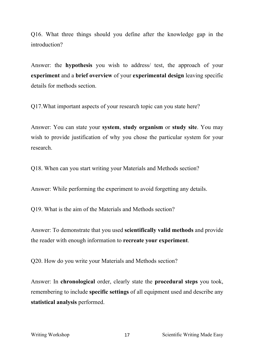Q16. What three things should you define after the knowledge gap in the introduction?

Answer: the **hypothesis** you wish to address/ test, the approach of your **experiment** and a **brief overview** of your **experimental design** leaving specific details for methods section.

Q17.What important aspects of your research topic can you state here?

Answer: You can state your **system**, **study organism** or **study site**. You may wish to provide justification of why you chose the particular system for your research.

Q18. When can you start writing your Materials and Methods section?

Answer: While performing the experiment to avoid forgetting any details.

Q19. What is the aim of the Materials and Methods section?

Answer: To demonstrate that you used **scientifically valid methods** and provide the reader with enough information to **recreate your experiment**.

Q20. How do you write your Materials and Methods section?

Answer: In **chronological** order, clearly state the **procedural steps** you took, remembering to include **specific settings** of all equipment used and describe any **statistical analysis** performed.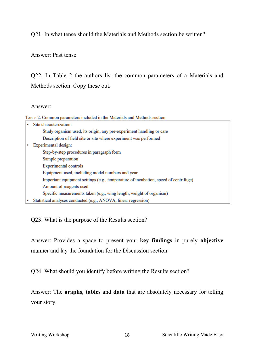Q21. In what tense should the Materials and Methods section be written?

#### Answer: Past tense

Q22. In Table 2 the authors list the common parameters of a Materials and Methods section. Copy these out.

#### Answer:

TABLE 2. Common parameters included in the Materials and Methods section.

|   | Site characterization:                                                              |
|---|-------------------------------------------------------------------------------------|
|   | Study organism used, its origin, any pre-experiment handling or care                |
|   | Description of field site or site where experiment was performed                    |
|   | Experimental design:                                                                |
|   | Step-by-step procedures in paragraph form                                           |
|   | Sample preparation                                                                  |
|   | Experimental controls                                                               |
|   | Equipment used, including model numbers and year                                    |
|   | Important equipment settings (e.g., temperature of incubation, speed of centrifuge) |
|   | Amount of reagents used                                                             |
|   | Specific measurements taken (e.g., wing length, weight of organism)                 |
| ٠ | Statistical analyses conducted (e.g., ANOVA, linear regression)                     |

Q23. What is the purpose of the Results section?

Answer: Provides a space to present your **key findings** in purely **objective** manner and lay the foundation for the Discussion section.

Q24. What should you identify before writing the Results section?

Answer: The **graphs**, **tables** and **data** that are absolutely necessary for telling your story.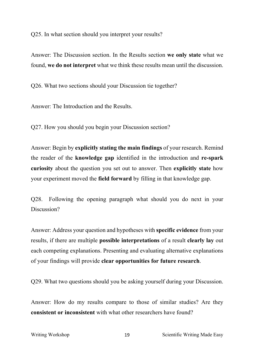Q25. In what section should you interpret your results?

Answer: The Discussion section. In the Results section **we only state** what we found, **we do not interpret** what we think these results mean until the discussion.

Q26. What two sections should your Discussion tie together?

Answer: The Introduction and the Results.

Q27. How you should you begin your Discussion section?

Answer: Begin by **explicitly stating the main findings** of your research. Remind the reader of the **knowledge gap** identified in the introduction and **re-spark curiosity** about the question you set out to answer. Then **explicitly state** how your experiment moved the **field forward** by filling in that knowledge gap.

Q28. Following the opening paragraph what should you do next in your Discussion?

Answer: Address your question and hypotheses with **specific evidence** from your results, if there are multiple **possible interpretations** of a result **clearly lay** out each competing explanations. Presenting and evaluating alternative explanations of your findings will provide **clear opportunities for future research**.

Q29. What two questions should you be asking yourself during your Discussion.

Answer: How do my results compare to those of similar studies? Are they **consistent or inconsistent** with what other researchers have found?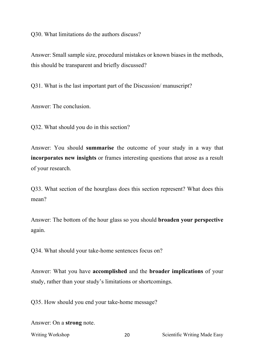Q30. What limitations do the authors discuss?

Answer: Small sample size, procedural mistakes or known biases in the methods, this should be transparent and briefly discussed?

Q31. What is the last important part of the Discussion/ manuscript?

Answer: The conclusion.

Q32. What should you do in this section?

Answer: You should **summarise** the outcome of your study in a way that **incorporates new insights** or frames interesting questions that arose as a result of your research.

Q33. What section of the hourglass does this section represent? What does this mean?

Answer: The bottom of the hour glass so you should **broaden your perspective** again.

Q34. What should your take-home sentences focus on?

Answer: What you have **accomplished** and the **broader implications** of your study, rather than your study's limitations or shortcomings.

Q35. How should you end your take-home message?

Answer: On a **strong** note.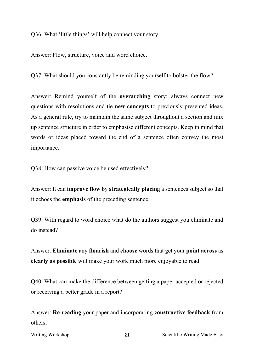Q36. What 'little things' will help connect your story.

Answer: Flow, structure, voice and word choice.

Q37. What should you constantly be reminding yourself to bolster the flow?

Answer: Remind yourself of the **overarching** story; always connect new questions with resolutions and tie **new concepts** to previously presented ideas. As a general rule, try to maintain the same subject throughout a section and mix up sentence structure in order to emphasise different concepts. Keep in mind that words or ideas placed toward the end of a sentence often convey the most importance.

Q38. How can passive voice be used effectively?

Answer: It can **improve flow** by **strategically placing** a sentences subject so that it echoes the **emphasis** of the preceding sentence.

Q39. With regard to word choice what do the authors suggest you eliminate and do instead?

Answer: **Eliminate** any **flourish** and **choose** words that get your **point across** as **clearly as possible** will make your work much more enjoyable to read.

Q40. What can make the difference between getting a paper accepted or rejected or receiving a better grade in a report?

Answer: **Re**-**reading** your paper and incorporating **constructive feedback** from others.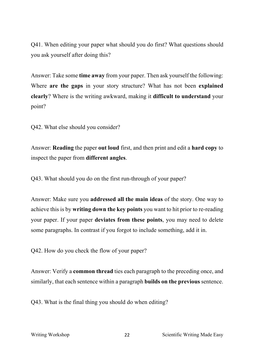Q41. When editing your paper what should you do first? What questions should you ask yourself after doing this?

Answer: Take some **time away** from your paper. Then ask yourself the following: Where **are the gaps** in your story structure? What has not been **explained clearly**? Where is the writing awkward, making it **difficult to understand** your point?

Q42. What else should you consider?

Answer: **Reading** the paper **out loud** first, and then print and edit a **hard copy** to inspect the paper from **different angles**.

Q43. What should you do on the first run-through of your paper?

Answer: Make sure you **addressed all the main ideas** of the story. One way to achieve this is by **writing down the key points** you want to hit prior to re-reading your paper. If your paper **deviates from these points**, you may need to delete some paragraphs. In contrast if you forgot to include something, add it in.

Q42. How do you check the flow of your paper?

Answer: Verify a **common thread** ties each paragraph to the preceding once, and similarly, that each sentence within a paragraph **builds on the previous** sentence.

Q43. What is the final thing you should do when editing?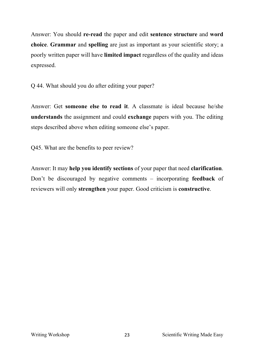Answer: You should **re-read** the paper and edit **sentence structure** and **word choice**. **Grammar** and **spelling** are just as important as your scientific story; a poorly written paper will have **limited impact** regardless of the quality and ideas expressed.

Q 44. What should you do after editing your paper?

Answer: Get **someone else to read it**. A classmate is ideal because he/she **understands** the assignment and could **exchange** papers with you. The editing steps described above when editing someone else's paper.

Q45. What are the benefits to peer review?

Answer: It may **help you identify sections** of your paper that need **clarification**. Don't be discouraged by negative comments – incorporating **feedback** of reviewers will only **strengthen** your paper. Good criticism is **constructive**.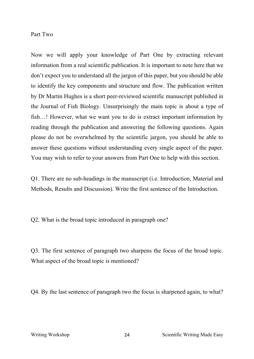#### Part Two

Now we will apply your knowledge of Part One by extracting relevant information from a real scientific publication. It is important to note here that we don't expect you to understand all the jargon of this paper, but you should be able to identify the key components and structure and flow. The publication written by Dr Martin Hughes is a short peer-reviewed scientific manuscript published in the Journal of Fish Biology. Unsurprisingly the main topic is about a type of fish…! However, what we want you to do is extract important information by reading through the publication and answering the following questions. Again please do not be overwhelmed by the scientific jargon, you should be able to answer these questions without understanding every single aspect of the paper. You may wish to refer to your answers from Part One to help with this section.

Q1. There are no sub-headings in the manuscript (i.e. Introduction, Material and Methods, Results and Discussion). Write the first sentence of the Introduction.

Q2. What is the broad topic introduced in paragraph one?

Q3. The first sentence of paragraph two sharpens the focus of the broad topic. What aspect of the broad topic is mentioned?

Q4. By the last sentence of paragraph two the focus is sharpened again, to what?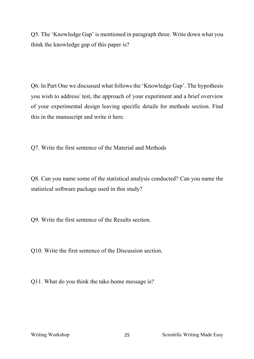Q5. The 'Knowledge Gap' is mentioned in paragraph three. Write down what you think the knowledge gap of this paper is?

Q6. In Part One we discussed what follows the 'Knowledge Gap'. The hypothesis you wish to address/ test, the approach of your experiment and a brief overview of your experimental design leaving specific details for methods section. Find this in the manuscript and write it here.

Q7. Write the first sentence of the Material and Methods

Q8. Can you name some of the statistical analysis conducted? Can you name the statistical software package used in this study?

Q9. Write the first sentence of the Results section.

Q10. Write the first sentence of the Discussion section.

Q11. What do you think the take-home message is?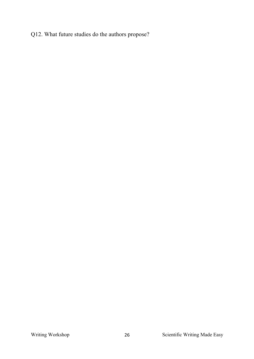### Q12. What future studies do the authors propose?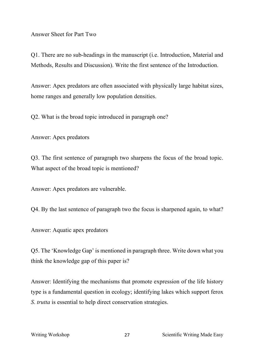Answer Sheet for Part Two

Q1. There are no sub-headings in the manuscript (i.e. Introduction, Material and Methods, Results and Discussion). Write the first sentence of the Introduction.

Answer: Apex predators are often associated with physically large habitat sizes, home ranges and generally low population densities.

Q2. What is the broad topic introduced in paragraph one?

Answer: Apex predators

Q3. The first sentence of paragraph two sharpens the focus of the broad topic. What aspect of the broad topic is mentioned?

Answer: Apex predators are vulnerable.

Q4. By the last sentence of paragraph two the focus is sharpened again, to what?

Answer: Aquatic apex predators

Q5. The 'Knowledge Gap' is mentioned in paragraph three. Write down what you think the knowledge gap of this paper is?

Answer: Identifying the mechanisms that promote expression of the life history type is a fundamental question in ecology; identifying lakes which support ferox *S*. *trutta* is essential to help direct conservation strategies.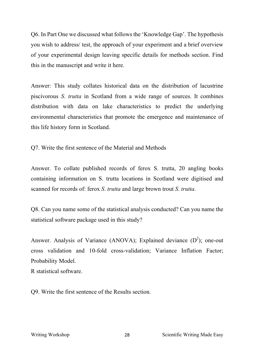Q6. In Part One we discussed what follows the 'Knowledge Gap'. The hypothesis you wish to address/ test, the approach of your experiment and a brief overview of your experimental design leaving specific details for methods section. Find this in the manuscript and write it here.

Answer: This study collates historical data on the distribution of lacustrine piscivorous *S*. *trutta* in Scotland from a wide range of sources. It combines distribution with data on lake characteristics to predict the underlying environmental characteristics that promote the emergence and maintenance of this life history form in Scotland.

Q7. Write the first sentence of the Material and Methods

Answer. To collate published records of ferox S. trutta, 20 angling books containing information on S. trutta locations in Scotland were digitised and scanned for records of: ferox *S*. *trutta* and large brown trout *S*. *trutta*.

Q8. Can you name some of the statistical analysis conducted? Can you name the statistical software package used in this study?

Answer. Analysis of Variance (ANOVA); Explained deviance  $(D^2)$ ; one-out cross validation and 10-fold cross-validation; Variance Inflation Factor; Probability Model.

R statistical software.

Q9. Write the first sentence of the Results section.